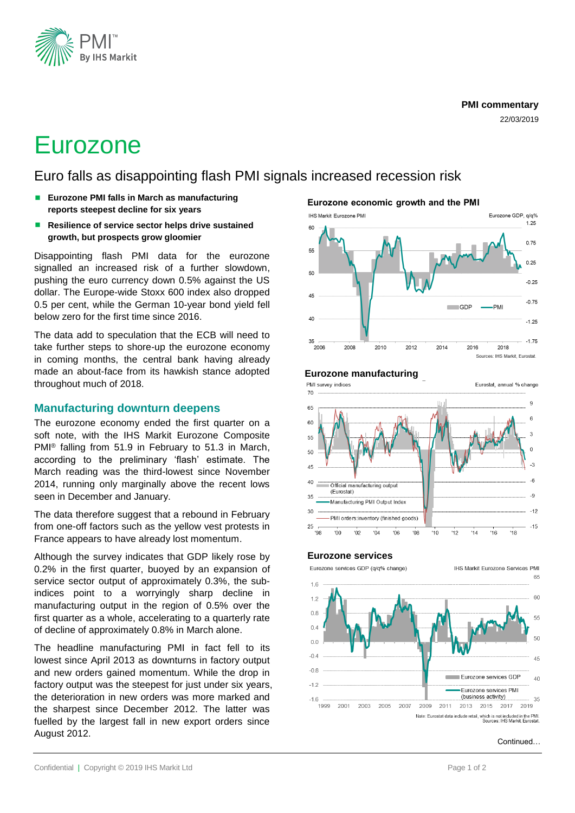

#### **PMI commentary**

22/03/2019

# Eurozone

Euro falls as disappointing flash PMI signals increased recession risk

- **Eurozone PMI falls in March as manufacturing reports steepest decline for six years**
- Resilience of service sector helps drive sustained **growth, but prospects grow gloomier**

Disappointing flash PMI data for the eurozone signalled an increased risk of a further slowdown, pushing the euro currency down 0.5% against the US dollar. The Europe-wide Stoxx 600 index also dropped 0.5 per cent, while the German 10-year bond yield fell below zero for the first time since 2016.

The data add to speculation that the ECB will need to take further steps to shore-up the eurozone economy in coming months, the central bank having already made an about-face from its hawkish stance adopted throughout much of 2018.

# **Manufacturing downturn deepens**

The eurozone economy ended the first quarter on a soft note, with the IHS Markit Eurozone Composite PMI® falling from 51.9 in February to 51.3 in March, according to the preliminary 'flash' estimate. The March reading was the third-lowest since November 2014, running only marginally above the recent lows seen in December and January.

The data therefore suggest that a rebound in February from one-off factors such as the yellow vest protests in France appears to have already lost momentum.

Although the survey indicates that GDP likely rose by 0.2% in the first quarter, buoyed by an expansion of service sector output of approximately 0.3%, the subindices point to a worryingly sharp decline in manufacturing output in the region of 0.5% over the first quarter as a whole, accelerating to a quarterly rate of decline of approximately 0.8% in March alone.

The headline manufacturing PMI in fact fell to its lowest since April 2013 as downturns in factory output and new orders gained momentum. While the drop in factory output was the steepest for just under six years, the deterioration in new orders was more marked and the sharpest since December 2012. The latter was fuelled by the largest fall in new export orders since August 2012.

Eurozone economic growth and the PMI



## **Eurozone manufacturing**

PMI survey indices Eurostat, annual % change 70  $\overline{9}$ 65  $6$ 60 55  $\Omega$ 50  $\overline{a}$ 45  $-6$ 40 Official manufacturing outpu (Eurostat)  $-9$ 35 Manufacturing PMI Output Index  $-12$ 30 MI orders:inventory (finished goods) 25  $-15$ 'QS '00  $'02$  $04$  $06$ '08  $'10$  $12$  $14$  $'16$  $'18$ 

#### **Eurozone services**

Eurozone services GDP (g/g% change) **IHS Markit Eurozone Services PMI** 65  $16$ 60  $1.2$  $0.8$ 55  $0.4$  $50$  $0<sub>0</sub>$  $-0.4$ 45  $-0.8$ Eurozone services GDP  $40$  $-1.2$ Eurozone services PMI (business activity) 35  $-1.6$ 1999 2019 2001 2003 2005 2007 2009 2011 2013 2015 2017 Note: Eurostat data include retail, which is not included in the PMI.<br>Sources: IHS Markit, Eurostat.

#### **Continued**